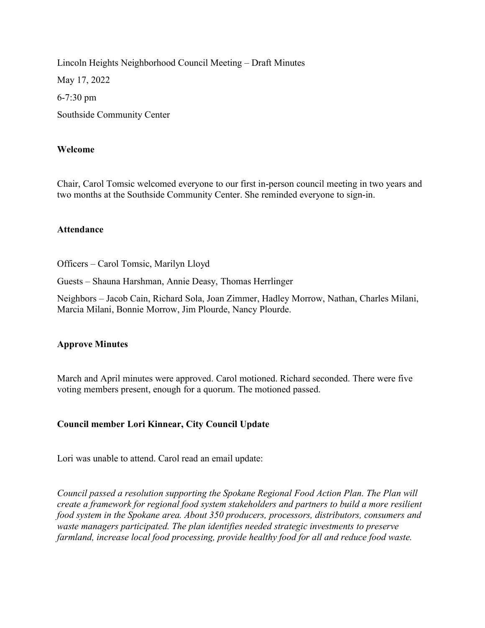Lincoln Heights Neighborhood Council Meeting – Draft Minutes May 17, 2022 6-7:30 pm Southside Community Center

### Welcome

Chair, Carol Tomsic welcomed everyone to our first in-person council meeting in two years and two months at the Southside Community Center. She reminded everyone to sign-in.

### Attendance

Officers – Carol Tomsic, Marilyn Lloyd

Guests – Shauna Harshman, Annie Deasy, Thomas Herrlinger

Neighbors – Jacob Cain, Richard Sola, Joan Zimmer, Hadley Morrow, Nathan, Charles Milani, Marcia Milani, Bonnie Morrow, Jim Plourde, Nancy Plourde.

### Approve Minutes

March and April minutes were approved. Carol motioned. Richard seconded. There were five voting members present, enough for a quorum. The motioned passed.

## Council member Lori Kinnear, City Council Update

Lori was unable to attend. Carol read an email update:

Council passed a resolution supporting the Spokane Regional Food Action Plan. The Plan will create a framework for regional food system stakeholders and partners to build a more resilient food system in the Spokane area. About 350 producers, processors, distributors, consumers and waste managers participated. The plan identifies needed strategic investments to preserve farmland, increase local food processing, provide healthy food for all and reduce food waste.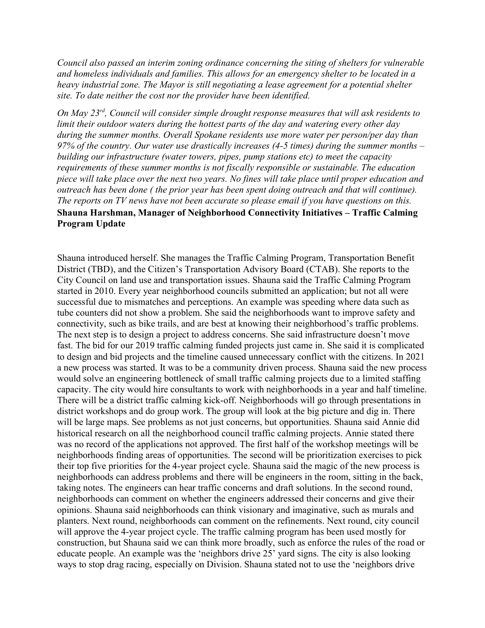Council also passed an interim zoning ordinance concerning the siting of shelters for vulnerable and homeless individuals and families. This allows for an emergency shelter to be located in a heavy industrial zone. The Mayor is still negotiating a lease agreement for a potential shelter site. To date neither the cost nor the provider have been identified.

On May 23<sup>rd</sup>, Council will consider simple drought response measures that will ask residents to limit their outdoor waters during the hottest parts of the day and watering every other day during the summer months. Overall Spokane residents use more water per person/per day than 97% of the country. Our water use drastically increases (4-5 times) during the summer months  $$ building our infrastructure (water towers, pipes, pump stations etc) to meet the capacity requirements of these summer months is not fiscally responsible or sustainable. The education piece will take place over the next two years. No fines will take place until proper education and outreach has been done ( the prior year has been spent doing outreach and that will continue). The reports on TV news have not been accurate so please email if you have questions on this. Shauna Harshman, Manager of Neighborhood Connectivity Initiatives – Traffic Calming Program Update

Shauna introduced herself. She manages the Traffic Calming Program, Transportation Benefit District (TBD), and the Citizen's Transportation Advisory Board (CTAB). She reports to the City Council on land use and transportation issues. Shauna said the Traffic Calming Program started in 2010. Every year neighborhood councils submitted an application; but not all were successful due to mismatches and perceptions. An example was speeding where data such as tube counters did not show a problem. She said the neighborhoods want to improve safety and connectivity, such as bike trails, and are best at knowing their neighborhood's traffic problems. The next step is to design a project to address concerns. She said infrastructure doesn't move fast. The bid for our 2019 traffic calming funded projects just came in. She said it is complicated to design and bid projects and the timeline caused unnecessary conflict with the citizens. In 2021 a new process was started. It was to be a community driven process. Shauna said the new process would solve an engineering bottleneck of small traffic calming projects due to a limited staffing capacity. The city would hire consultants to work with neighborhoods in a year and half timeline. There will be a district traffic calming kick-off. Neighborhoods will go through presentations in district workshops and do group work. The group will look at the big picture and dig in. There will be large maps. See problems as not just concerns, but opportunities. Shauna said Annie did historical research on all the neighborhood council traffic calming projects. Annie stated there was no record of the applications not approved. The first half of the workshop meetings will be neighborhoods finding areas of opportunities. The second will be prioritization exercises to pick their top five priorities for the 4-year project cycle. Shauna said the magic of the new process is neighborhoods can address problems and there will be engineers in the room, sitting in the back, taking notes. The engineers can hear traffic concerns and draft solutions. In the second round, neighborhoods can comment on whether the engineers addressed their concerns and give their opinions. Shauna said neighborhoods can think visionary and imaginative, such as murals and planters. Next round, neighborhoods can comment on the refinements. Next round, city council will approve the 4-year project cycle. The traffic calming program has been used mostly for construction, but Shauna said we can think more broadly, such as enforce the rules of the road or educate people. An example was the 'neighbors drive 25' yard signs. The city is also looking ways to stop drag racing, especially on Division. Shauna stated not to use the 'neighbors drive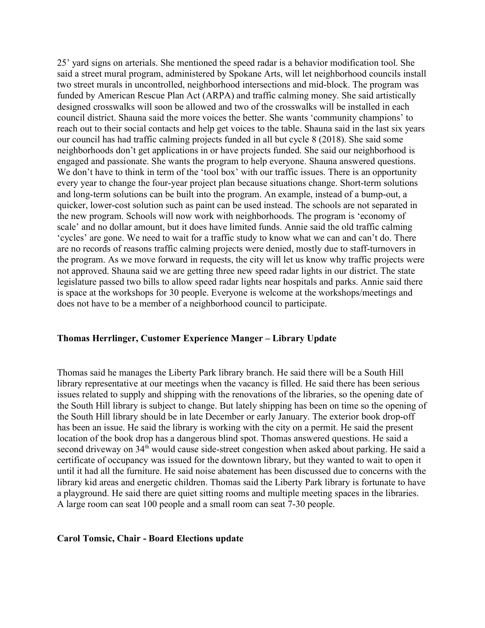25' yard signs on arterials. She mentioned the speed radar is a behavior modification tool. She said a street mural program, administered by Spokane Arts, will let neighborhood councils install two street murals in uncontrolled, neighborhood intersections and mid-block. The program was funded by American Rescue Plan Act (ARPA) and traffic calming money. She said artistically designed crosswalks will soon be allowed and two of the crosswalks will be installed in each council district. Shauna said the more voices the better. She wants 'community champions' to reach out to their social contacts and help get voices to the table. Shauna said in the last six years our council has had traffic calming projects funded in all but cycle 8 (2018). She said some neighborhoods don't get applications in or have projects funded. She said our neighborhood is engaged and passionate. She wants the program to help everyone. Shauna answered questions. We don't have to think in term of the 'tool box' with our traffic issues. There is an opportunity every year to change the four-year project plan because situations change. Short-term solutions and long-term solutions can be built into the program. An example, instead of a bump-out, a quicker, lower-cost solution such as paint can be used instead. The schools are not separated in the new program. Schools will now work with neighborhoods. The program is 'economy of scale' and no dollar amount, but it does have limited funds. Annie said the old traffic calming 'cycles' are gone. We need to wait for a traffic study to know what we can and can't do. There are no records of reasons traffic calming projects were denied, mostly due to staff-turnovers in the program. As we move forward in requests, the city will let us know why traffic projects were not approved. Shauna said we are getting three new speed radar lights in our district. The state legislature passed two bills to allow speed radar lights near hospitals and parks. Annie said there is space at the workshops for 30 people. Everyone is welcome at the workshops/meetings and does not have to be a member of a neighborhood council to participate.

### Thomas Herrlinger, Customer Experience Manger – Library Update

Thomas said he manages the Liberty Park library branch. He said there will be a South Hill library representative at our meetings when the vacancy is filled. He said there has been serious issues related to supply and shipping with the renovations of the libraries, so the opening date of the South Hill library is subject to change. But lately shipping has been on time so the opening of the South Hill library should be in late December or early January. The exterior book drop-off has been an issue. He said the library is working with the city on a permit. He said the present location of the book drop has a dangerous blind spot. Thomas answered questions. He said a second driveway on 34<sup>th</sup> would cause side-street congestion when asked about parking. He said a certificate of occupancy was issued for the downtown library, but they wanted to wait to open it until it had all the furniture. He said noise abatement has been discussed due to concerns with the library kid areas and energetic children. Thomas said the Liberty Park library is fortunate to have a playground. He said there are quiet sitting rooms and multiple meeting spaces in the libraries. A large room can seat 100 people and a small room can seat 7-30 people.

#### Carol Tomsic, Chair - Board Elections update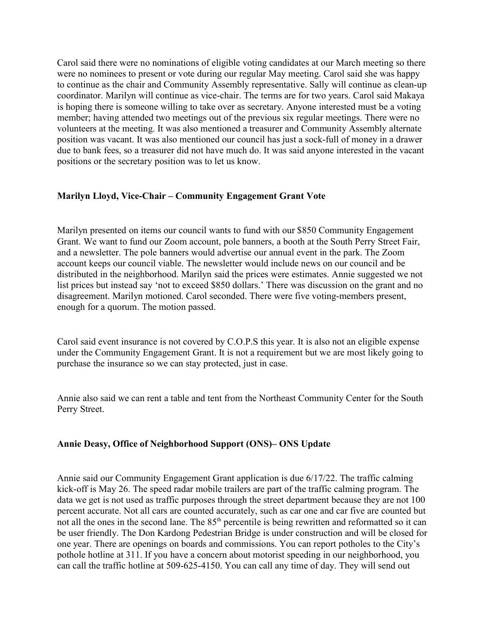Carol said there were no nominations of eligible voting candidates at our March meeting so there were no nominees to present or vote during our regular May meeting. Carol said she was happy to continue as the chair and Community Assembly representative. Sally will continue as clean-up coordinator. Marilyn will continue as vice-chair. The terms are for two years. Carol said Makaya is hoping there is someone willing to take over as secretary. Anyone interested must be a voting member; having attended two meetings out of the previous six regular meetings. There were no volunteers at the meeting. It was also mentioned a treasurer and Community Assembly alternate position was vacant. It was also mentioned our council has just a sock-full of money in a drawer due to bank fees, so a treasurer did not have much do. It was said anyone interested in the vacant positions or the secretary position was to let us know.

## Marilyn Lloyd, Vice-Chair – Community Engagement Grant Vote

Marilyn presented on items our council wants to fund with our \$850 Community Engagement Grant. We want to fund our Zoom account, pole banners, a booth at the South Perry Street Fair, and a newsletter. The pole banners would advertise our annual event in the park. The Zoom account keeps our council viable. The newsletter would include news on our council and be distributed in the neighborhood. Marilyn said the prices were estimates. Annie suggested we not list prices but instead say 'not to exceed \$850 dollars.' There was discussion on the grant and no disagreement. Marilyn motioned. Carol seconded. There were five voting-members present, enough for a quorum. The motion passed.

Carol said event insurance is not covered by C.O.P.S this year. It is also not an eligible expense under the Community Engagement Grant. It is not a requirement but we are most likely going to purchase the insurance so we can stay protected, just in case.

Annie also said we can rent a table and tent from the Northeast Community Center for the South Perry Street.

## Annie Deasy, Office of Neighborhood Support (ONS)– ONS Update

Annie said our Community Engagement Grant application is due 6/17/22. The traffic calming kick-off is May 26. The speed radar mobile trailers are part of the traffic calming program. The data we get is not used as traffic purposes through the street department because they are not 100 percent accurate. Not all cars are counted accurately, such as car one and car five are counted but not all the ones in the second lane. The 85<sup>th</sup> percentile is being rewritten and reformatted so it can be user friendly. The Don Kardong Pedestrian Bridge is under construction and will be closed for one year. There are openings on boards and commissions. You can report potholes to the City's pothole hotline at 311. If you have a concern about motorist speeding in our neighborhood, you can call the traffic hotline at 509-625-4150. You can call any time of day. They will send out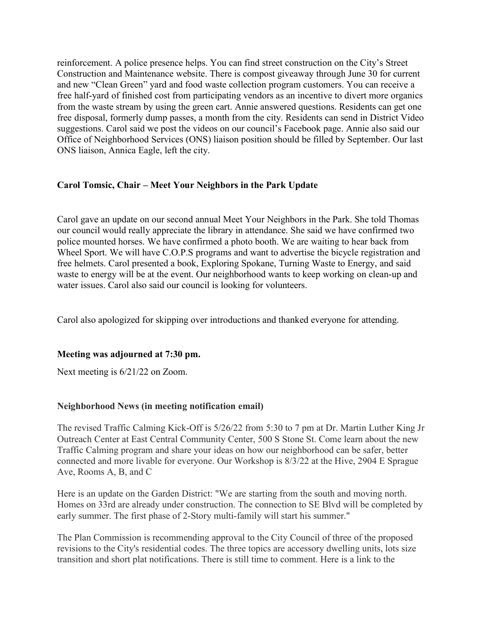reinforcement. A police presence helps. You can find street construction on the City's Street Construction and Maintenance website. There is compost giveaway through June 30 for current and new "Clean Green" yard and food waste collection program customers. You can receive a free half-yard of finished cost from participating vendors as an incentive to divert more organics from the waste stream by using the green cart. Annie answered questions. Residents can get one free disposal, formerly dump passes, a month from the city. Residents can send in District Video suggestions. Carol said we post the videos on our council's Facebook page. Annie also said our Office of Neighborhood Services (ONS) liaison position should be filled by September. Our last ONS liaison, Annica Eagle, left the city.

## Carol Tomsic, Chair – Meet Your Neighbors in the Park Update

Carol gave an update on our second annual Meet Your Neighbors in the Park. She told Thomas our council would really appreciate the library in attendance. She said we have confirmed two police mounted horses. We have confirmed a photo booth. We are waiting to hear back from Wheel Sport. We will have C.O.P.S programs and want to advertise the bicycle registration and free helmets. Carol presented a book, Exploring Spokane, Turning Waste to Energy, and said waste to energy will be at the event. Our neighborhood wants to keep working on clean-up and water issues. Carol also said our council is looking for volunteers.

Carol also apologized for skipping over introductions and thanked everyone for attending.

## Meeting was adjourned at 7:30 pm.

Next meeting is 6/21/22 on Zoom.

# Neighborhood News (in meeting notification email)

The revised Traffic Calming Kick-Off is 5/26/22 from 5:30 to 7 pm at Dr. Martin Luther King Jr Outreach Center at East Central Community Center, 500 S Stone St. Come learn about the new Traffic Calming program and share your ideas on how our neighborhood can be safer, better connected and more livable for everyone. Our Workshop is 8/3/22 at the Hive, 2904 E Sprague Ave, Rooms A, B, and C

Here is an update on the Garden District: "We are starting from the south and moving north. Homes on 33rd are already under construction. The connection to SE Blvd will be completed by early summer. The first phase of 2-Story multi-family will start his summer."

The Plan Commission is recommending approval to the City Council of three of the proposed revisions to the City's residential codes. The three topics are accessory dwelling units, lots size transition and short plat notifications. There is still time to comment. Here is a link to the